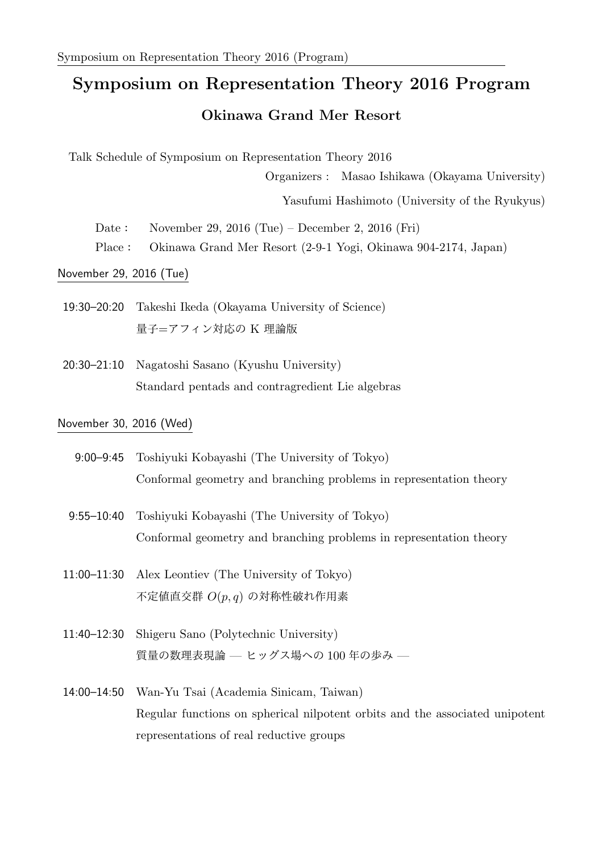## **Symposium on Representation Theory 2016 Program Okinawa Grand Mer Resort**

Talk Schedule of Symposium on Representation Theory 2016

Organizers : Masao Ishikawa (Okayama University)

Yasufumi Hashimoto (University of the Ryukyus)

- Date: November 29, 2016 (Tue) December 2, 2016 (Fri)
- Place: Okinawa Grand Mer Resort (2-9-1 Yogi, Okinawa 904-2174, Japan)

November 29, 2016 (Tue)

- 19:30–20:20 Takeshi Ikeda (Okayama University of Science) 量子=アフィン対応の K 理論版
- 20:30–21:10 Nagatoshi Sasano (Kyushu University) Standard pentads and contragredient Lie algebras

## November 30, 2016 (Wed)

- 9:00–9:45 Toshiyuki Kobayashi (The University of Tokyo) Conformal geometry and branching problems in representation theory
- 9:55–10:40 Toshiyuki Kobayashi (The University of Tokyo) Conformal geometry and branching problems in representation theory
- 11:00–11:30 Alex Leontiev (The University of Tokyo) 不定値直交群 *O*(*p, q*) の対称性破れ作用素
- 11:40–12:30 Shigeru Sano (Polytechnic University) 質量の数理表現論 — ヒッグス場への 100 年の歩み —
- 14:00–14:50 Wan-Yu Tsai (Academia Sinicam, Taiwan) Regular functions on spherical nilpotent orbits and the associated unipotent representations of real reductive groups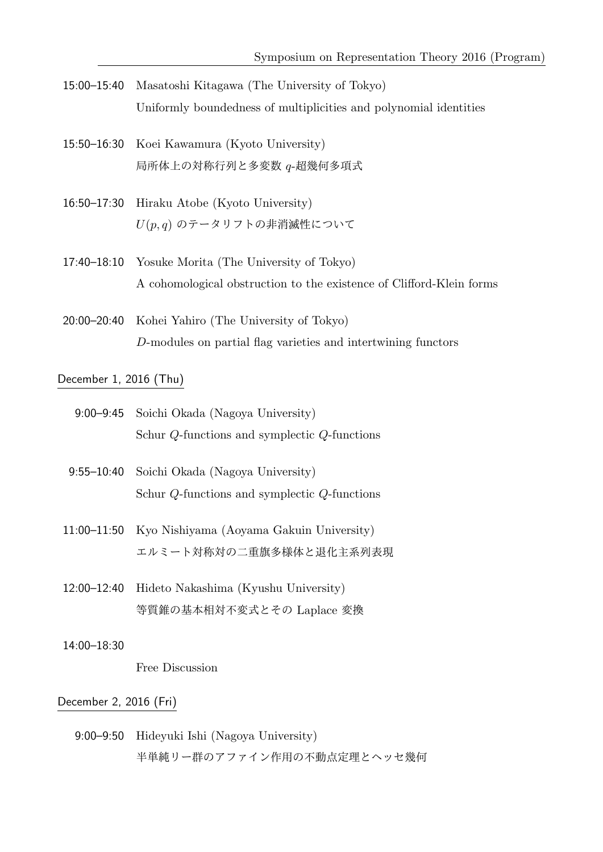- 15:00–15:40 Masatoshi Kitagawa (The University of Tokyo) Uniformly boundedness of multiplicities and polynomial identities
- 15:50–16:30 Koei Kawamura (Kyoto University) 局所体上の対称行列と多変数 *q*-超幾何多項式
- 16:50–17:30 Hiraku Atobe (Kyoto University) *U*(*p, q*) のテータリフトの非消滅性について
- 17:40–18:10 Yosuke Morita (The University of Tokyo) A cohomological obstruction to the existence of Clifford-Klein forms
- 20:00–20:40 Kohei Yahiro (The University of Tokyo) *D*-modules on partial flag varieties and intertwining functors

December 1, 2016 (Thu)

- 9:00–9:45 Soichi Okada (Nagoya University) Schur *Q*-functions and symplectic *Q*-functions
- 9:55–10:40 Soichi Okada (Nagoya University) Schur *Q*-functions and symplectic *Q*-functions
- 11:00–11:50 Kyo Nishiyama (Aoyama Gakuin University) エルミート対称対の二重旗多様体と退化主系列表現
- 12:00–12:40 Hideto Nakashima (Kyushu University) 等質錐の基本相対不変式とその Laplace 変換
- 14:00–18:30

Free Discussion

## December 2, 2016 (Fri)

9:00–9:50 Hideyuki Ishi (Nagoya University) 半単純リー群のアファイン作用の不動点定理とヘッセ幾何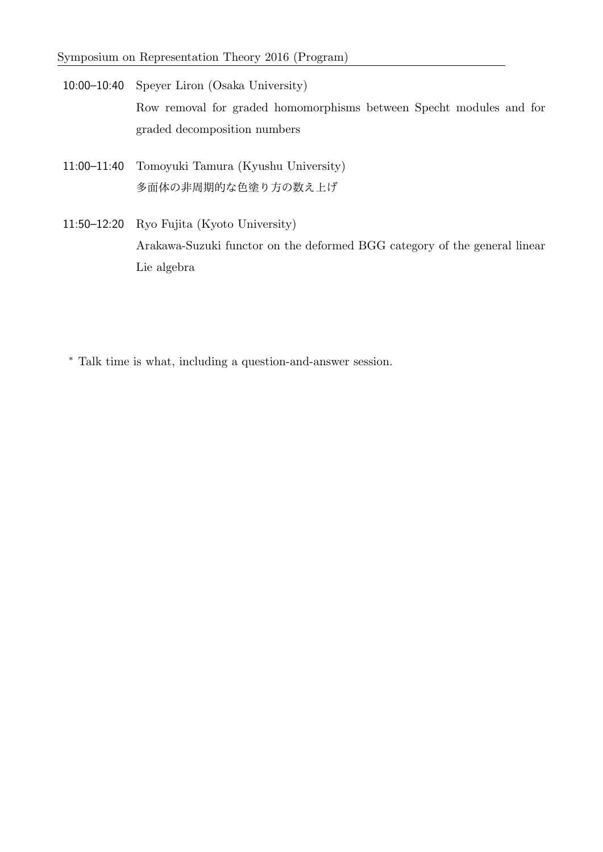10:00–10:40 Speyer Liron (Osaka University) Row removal for graded homomorphisms between Specht modules and for graded decomposition numbers

- 11:00–11:40 Tomoyuki Tamura (Kyushu University) 多面体の非周期的な色塗り方の数え上げ
- 11:50–12:20 Ryo Fujita (Kyoto University) Arakawa-Suzuki functor on the deformed BGG category of the general linear Lie algebra
	- *<sup>∗</sup>* Talk time is what, including a question-and-answer session.